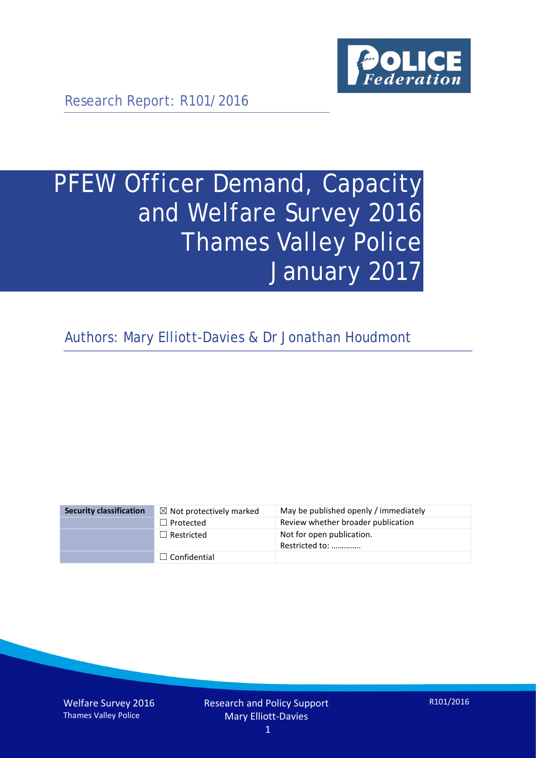

Research Report: R101/2016

# PFEW Officer Demand, Capacity and Welfare Survey 2016 Thames Valley Police January 2017

Authors: Mary Elliott-Davies & Dr Jonathan Houdmont

| <b>Security classification</b> | $\boxtimes$ Not protectively marked | May be published openly / immediately       |
|--------------------------------|-------------------------------------|---------------------------------------------|
|                                | $\Box$ Protected                    | Review whether broader publication          |
|                                | $\Box$ Restricted                   | Not for open publication.<br>Restricted to: |
|                                | $\Box$ Confidential                 |                                             |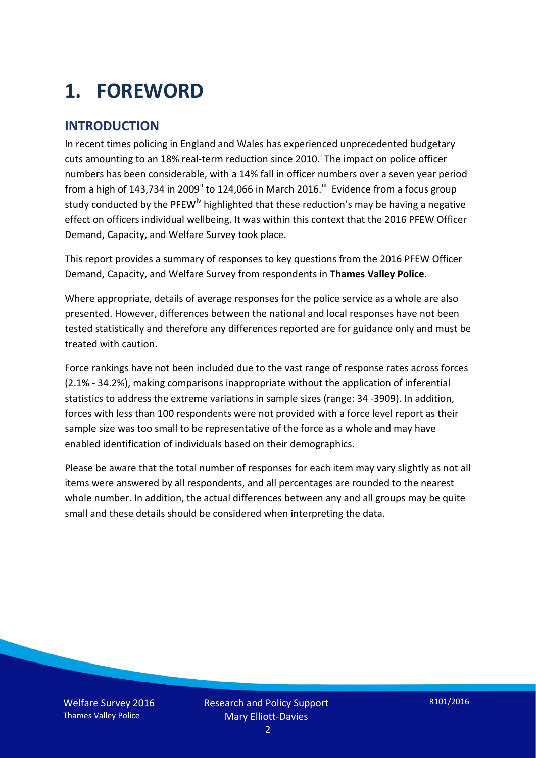# **1. FOREWORD**

### **INTRODUCTION**

In recent times policing in England and Wales has experienced unprecedented budgetary cuts amount[i](#page-15-0)ng to an 18% real-term reduction since 2010.<sup>1</sup> The impact on police officer numbers has been considerable, with a 14% fall in officer numbers over a seven year period from a high of 143,734 in 2009<sup>[ii](#page-15-1)</sup> to 124,066 in March 2016.<sup>[iii](#page-15-2)</sup> Evidence from a focus group study conducted by the PFEW<sup>[iv](#page-15-3)</sup> highlighted that these reduction's may be having a negative effect on officers individual wellbeing. It was within this context that the 2016 PFEW Officer Demand, Capacity, and Welfare Survey took place.

This report provides a summary of responses to key questions from the 2016 PFEW Officer Demand, Capacity, and Welfare Survey from respondents in **Thames Valley Police**.

Where appropriate, details of average responses for the police service as a whole are also presented. However, differences between the national and local responses have not been tested statistically and therefore any differences reported are for guidance only and must be treated with caution.

Force rankings have not been included due to the vast range of response rates across forces (2.1% - 34.2%), making comparisons inappropriate without the application of inferential statistics to address the extreme variations in sample sizes (range: 34 -3909). In addition, forces with less than 100 respondents were not provided with a force level report as their sample size was too small to be representative of the force as a whole and may have enabled identification of individuals based on their demographics.

Please be aware that the total number of responses for each item may vary slightly as not all items were answered by all respondents, and all percentages are rounded to the nearest whole number. In addition, the actual differences between any and all groups may be quite small and these details should be considered when interpreting the data.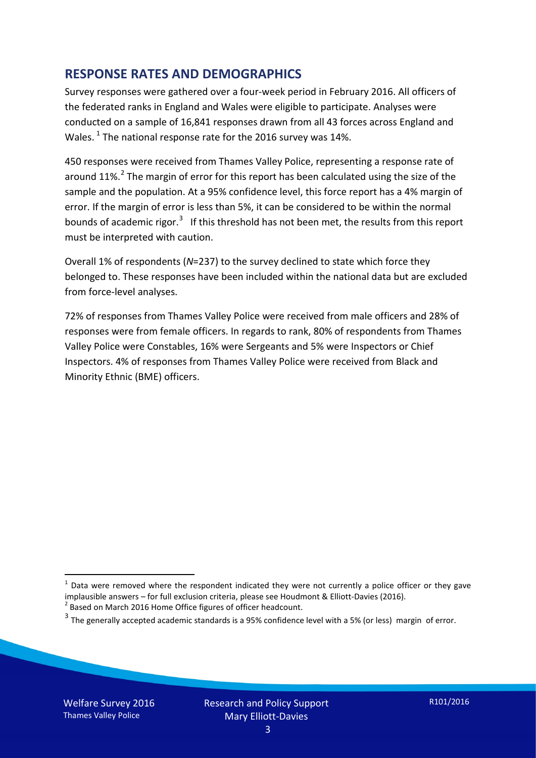### **RESPONSE RATES AND DEMOGRAPHICS**

Survey responses were gathered over a four-week period in February 2016. All officers of the federated ranks in England and Wales were eligible to participate. Analyses were conducted on a sample of 16,841 responses drawn from all 43 forces across England and Wales.  $^1$  $^1$  The national response rate for the 2016 survey was 14%.

450 responses were received from Thames Valley Police, representing a response rate of around 11%.<sup>[2](#page-2-1)</sup> The margin of error for this report has been calculated using the size of the sample and the population. At a 95% confidence level, this force report has a 4% margin of error. If the margin of error is less than 5%, it can be considered to be within the normal bounds of academic rigor.<sup>[3](#page-2-2)</sup> If this threshold has not been met, the results from this report must be interpreted with caution.

Overall 1% of respondents (*N*=237) to the survey declined to state which force they belonged to. These responses have been included within the national data but are excluded from force-level analyses.

72% of responses from Thames Valley Police were received from male officers and 28% of responses were from female officers. In regards to rank, 80% of respondents from Thames Valley Police were Constables, 16% were Sergeants and 5% were Inspectors or Chief Inspectors. 4% of responses from Thames Valley Police were received from Black and Minority Ethnic (BME) officers.

<u>.</u>

<span id="page-2-0"></span> $1$  Data were removed where the respondent indicated they were not currently a police officer or they gave implausible answers – for full exclusion criteria, please see Houdmont & Elliott-Davies (2016).<br><sup>2</sup> Based on March 2016 Home Office figures of officer headcount.

<span id="page-2-1"></span>

<span id="page-2-2"></span> $3$  The generally accepted academic standards is a 95% confidence level with a 5% (or less) margin of error.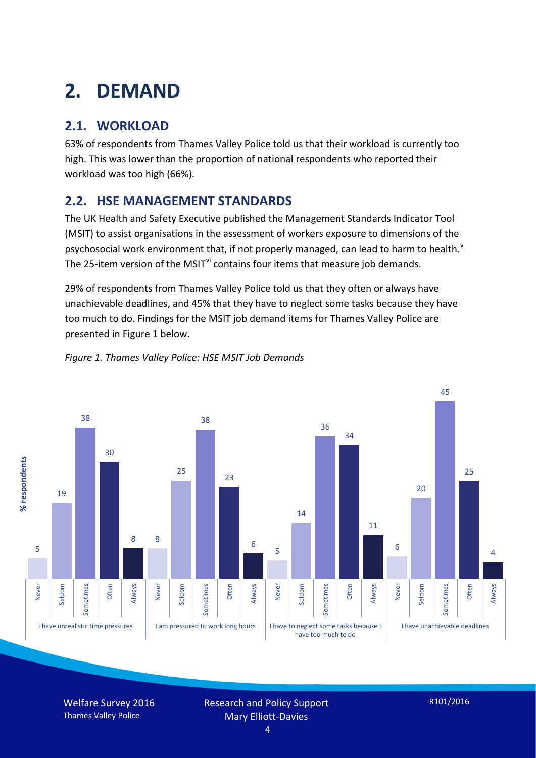# **2. DEMAND**

## **2.1. WORKLOAD**

63% of respondents from Thames Valley Police told us that their workload is currently too high. This was lower than the proportion of national respondents who reported their workload was too high (66%).

### **2.2. HSE MANAGEMENT STANDARDS**

The UK Health and Safety Executive published the Management Standards Indicator Tool (MSIT) to assist organisations in the assessment of workers exposure to dimensions of the psychosocial work en[v](#page-15-4)ironment that, if not properly managed, can lead to harm to health.<sup>v</sup> The 25-item version of the MSIT<sup>[vi](#page-15-5)</sup> contains four items that measure job demands.

29% of respondents from Thames Valley Police told us that they often or always have unachievable deadlines, and 45% that they have to neglect some tasks because they have too much to do. Findings for the MSIT job demand items for Thames Valley Police are presented in Figure 1 below.



#### *Figure 1. Thames Valley Police: HSE MSIT Job Demands*

Welfare Survey 2016 Thames Valley Police

Research and Policy Support Mary Elliott-Davies

4

R101/2016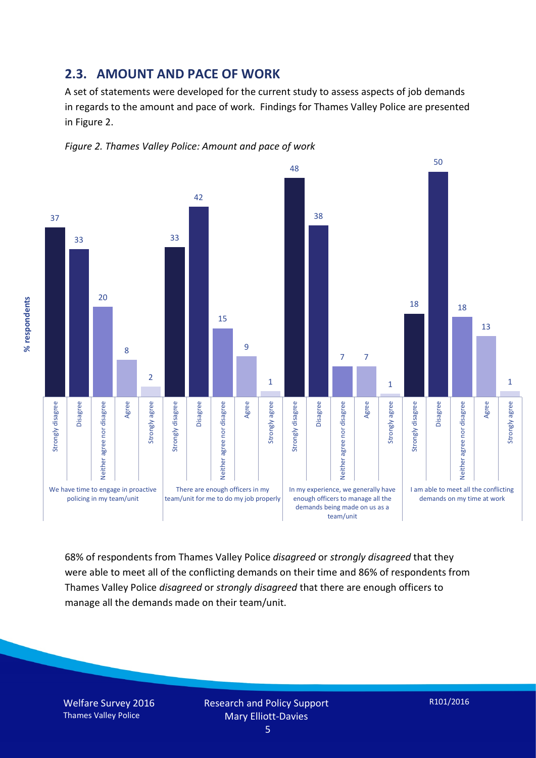#### **2.3. AMOUNT AND PACE OF WORK**

A set of statements were developed for the current study to assess aspects of job demands in regards to the amount and pace of work. Findings for Thames Valley Police are presented in Figure 2.





68% of respondents from Thames Valley Police *disagreed* or *strongly disagreed* that they were able to meet all of the conflicting demands on their time and 86% of respondents from Thames Valley Police *disagreed* or *strongly disagreed* that there are enough officers to manage all the demands made on their team/unit.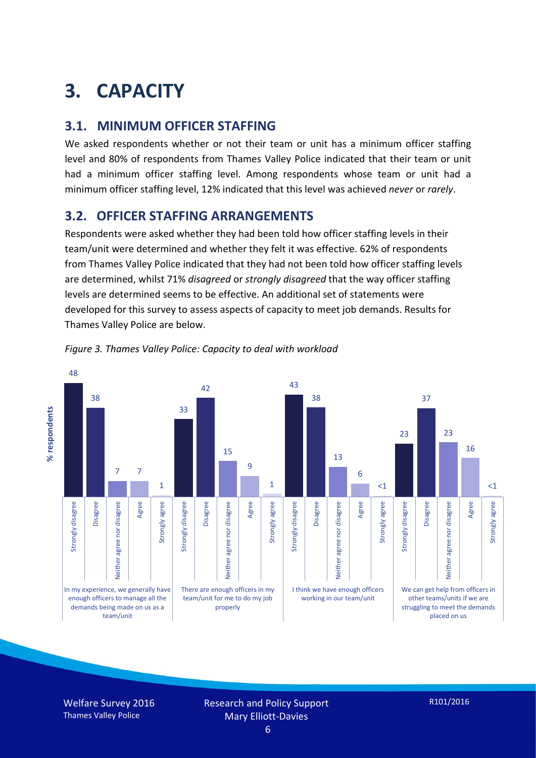# **3. CAPACITY**

### **3.1. MINIMUM OFFICER STAFFING**

We asked respondents whether or not their team or unit has a minimum officer staffing level and 80% of respondents from Thames Valley Police indicated that their team or unit had a minimum officer staffing level. Among respondents whose team or unit had a minimum officer staffing level, 12% indicated that this level was achieved *never* or *rarely*.

### **3.2. OFFICER STAFFING ARRANGEMENTS**

Respondents were asked whether they had been told how officer staffing levels in their team/unit were determined and whether they felt it was effective. 62% of respondents from Thames Valley Police indicated that they had not been told how officer staffing levels are determined, whilst 71% *disagreed* or *strongly disagreed* that the way officer staffing levels are determined seems to be effective. An additional set of statements were developed for this survey to assess aspects of capacity to meet job demands. Results for Thames Valley Police are below.





Welfare Survey 2016 Thames Valley Police

Research and Policy Support Mary Elliott-Davies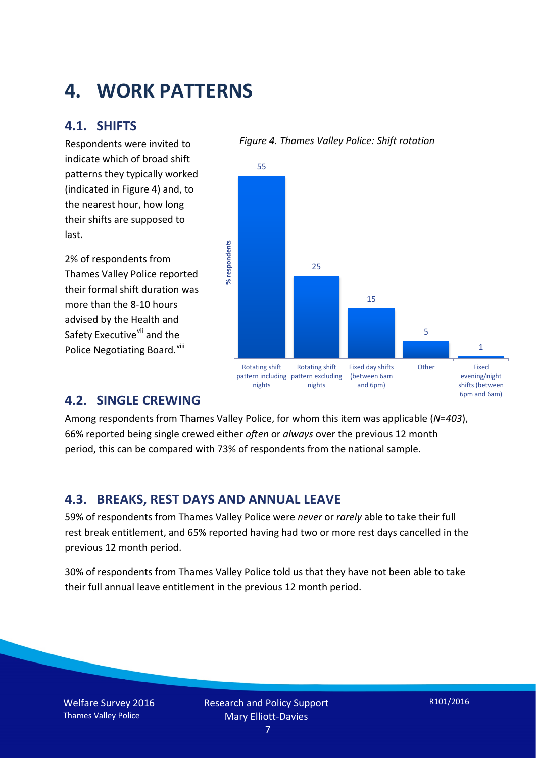## **4. WORK PATTERNS**

### **4.1. SHIFTS**

Respondents were invited to indicate which of broad shift patterns they typically worked (indicated in Figure 4) and, to the nearest hour, how long their shifts are supposed to last.

2% of respondents from Thames Valley Police reported their formal shift duration was more than the 8-10 hours advised by the Health and Safety Executive<sup>[vii](#page-15-6)</sup> and the Police Negotiating Board. Vill

#### *Figure 4. Thames Valley Police: Shift rotation*



#### **4.2. SINGLE CREWING**

Among respondents from Thames Valley Police, for whom this item was applicable (*N*=*403*), 66% reported being single crewed either *often* or *always* over the previous 12 month period, this can be compared with 73% of respondents from the national sample.

#### **4.3. BREAKS, REST DAYS AND ANNUAL LEAVE**

59% of respondents from Thames Valley Police were *never* or *rarely* able to take their full rest break entitlement, and 65% reported having had two or more rest days cancelled in the previous 12 month period.

30% of respondents from Thames Valley Police told us that they have not been able to take their full annual leave entitlement in the previous 12 month period.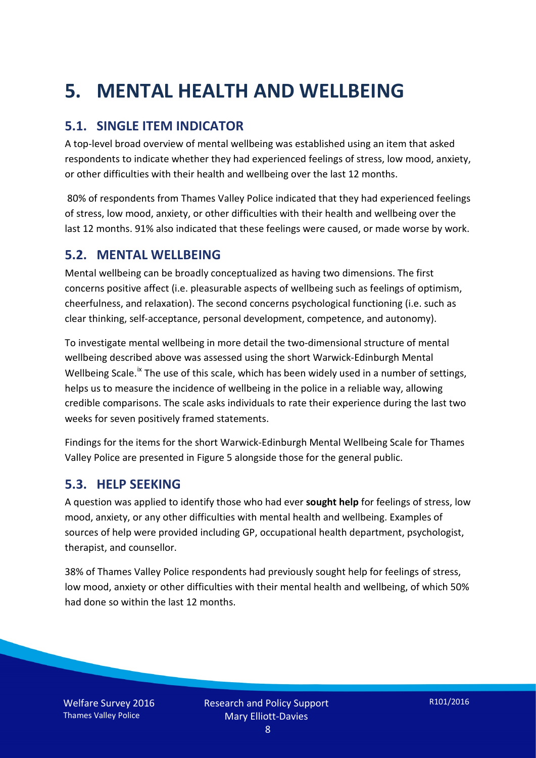# **5. MENTAL HEALTH AND WELLBEING**

### **5.1. SINGLE ITEM INDICATOR**

A top-level broad overview of mental wellbeing was established using an item that asked respondents to indicate whether they had experienced feelings of stress, low mood, anxiety, or other difficulties with their health and wellbeing over the last 12 months.

80% of respondents from Thames Valley Police indicated that they had experienced feelings of stress, low mood, anxiety, or other difficulties with their health and wellbeing over the last 12 months. 91% also indicated that these feelings were caused, or made worse by work.

#### **5.2. MENTAL WELLBEING**

Mental wellbeing can be broadly conceptualized as having two dimensions. The first concerns positive affect (i.e. pleasurable aspects of wellbeing such as feelings of optimism, cheerfulness, and relaxation). The second concerns psychological functioning (i.e. such as clear thinking, self-acceptance, personal development, competence, and autonomy).

To investigate mental wellbeing in more detail the two-dimensional structure of mental wellbeing described above was assessed using the short Warwick-Edinburgh Mental Wellbeing Scale.<sup>[ix](#page-15-8)</sup> The use of this scale, which has been widely used in a number of settings, helps us to measure the incidence of wellbeing in the police in a reliable way, allowing credible comparisons. The scale asks individuals to rate their experience during the last two weeks for seven positively framed statements.

Findings for the items for the short Warwick-Edinburgh Mental Wellbeing Scale for Thames Valley Police are presented in Figure 5 alongside those for the general public.

#### **5.3. HELP SEEKING**

A question was applied to identify those who had ever **sought help** for feelings of stress, low mood, anxiety, or any other difficulties with mental health and wellbeing. Examples of sources of help were provided including GP, occupational health department, psychologist, therapist, and counsellor.

38% of Thames Valley Police respondents had previously sought help for feelings of stress, low mood, anxiety or other difficulties with their mental health and wellbeing, of which 50% had done so within the last 12 months.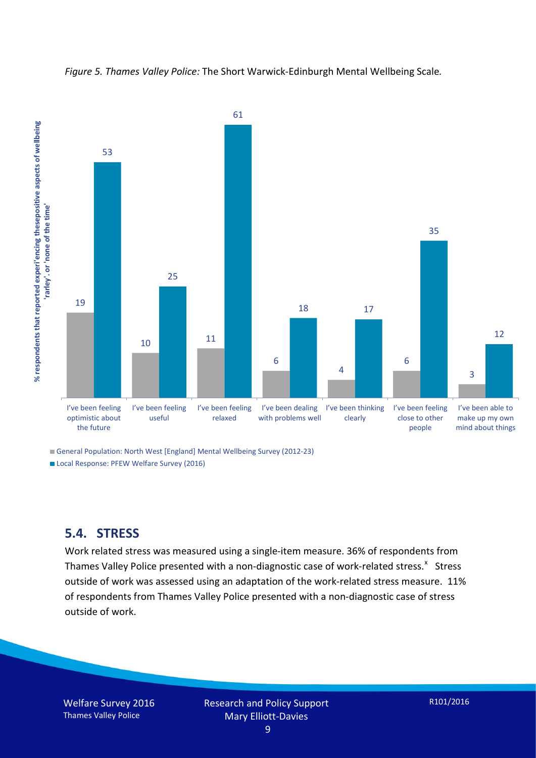



General Population: North West [England] Mental Wellbeing Survey (2012-23) Local Response: PFEW Welfare Survey (2016)

#### **5.4. STRESS**

Work related stress was measured using a single-item measure. 36% of respondents from Thames Valley Police presented with a non-diagnostic case of work-related stress.<sup>[x](#page-15-9)</sup> Stress outside of work was assessed using an adaptation of the work-related stress measure. 11% of respondents from Thames Valley Police presented with a non-diagnostic case of stress outside of work.

Welfare Survey 2016 Thames Valley Police

Research and Policy Support Mary Elliott-Davies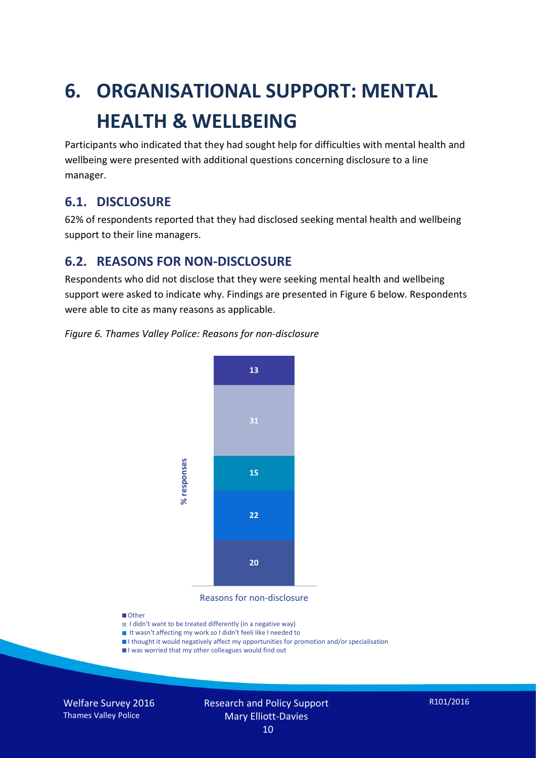# **6. ORGANISATIONAL SUPPORT: MENTAL HEALTH & WELLBEING**

Participants who indicated that they had sought help for difficulties with mental health and wellbeing were presented with additional questions concerning disclosure to a line manager.

### **6.1. DISCLOSURE**

62% of respondents reported that they had disclosed seeking mental health and wellbeing support to their line managers.

### **6.2. REASONS FOR NON-DISCLOSURE**

Respondents who did not disclose that they were seeking mental health and wellbeing support were asked to indicate why. Findings are presented in Figure 6 below. Respondents were able to cite as many reasons as applicable.

#### *Figure 6. Thames Valley Police: Reasons for non-disclosure*



Reasons for non-disclosure

#### **D**Other

- I didn't want to be treated differently (in a negative way)
- I It wasn't affecting my work so I didn't feeli like I needed to
- I thought it would negatively affect my opportunities for promotion and/or specialisation
- I was worried that my other colleagues would find out

Welfare Survey 2016 Thames Valley Police

#### Research and Policy Support Mary Elliott-Davies 10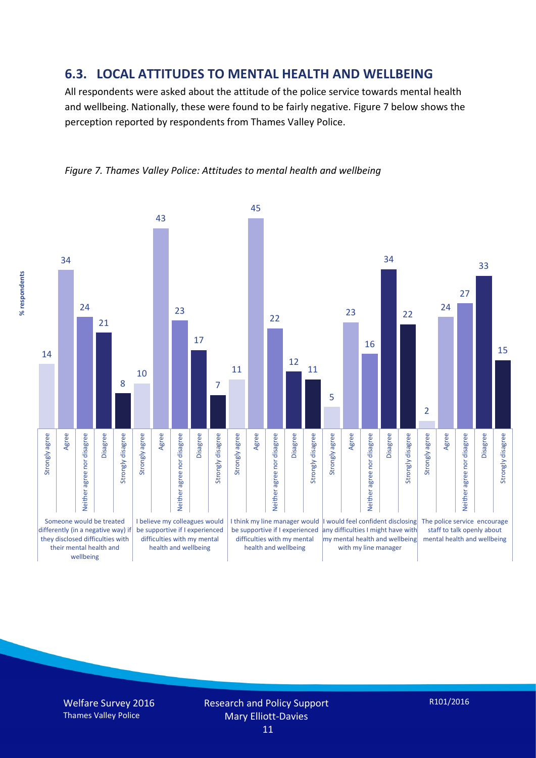#### **6.3. LOCAL ATTITUDES TO MENTAL HEALTH AND WELLBEING**

All respondents were asked about the attitude of the police service towards mental health and wellbeing. Nationally, these were found to be fairly negative. Figure 7 below shows the perception reported by respondents from Thames Valley Police.



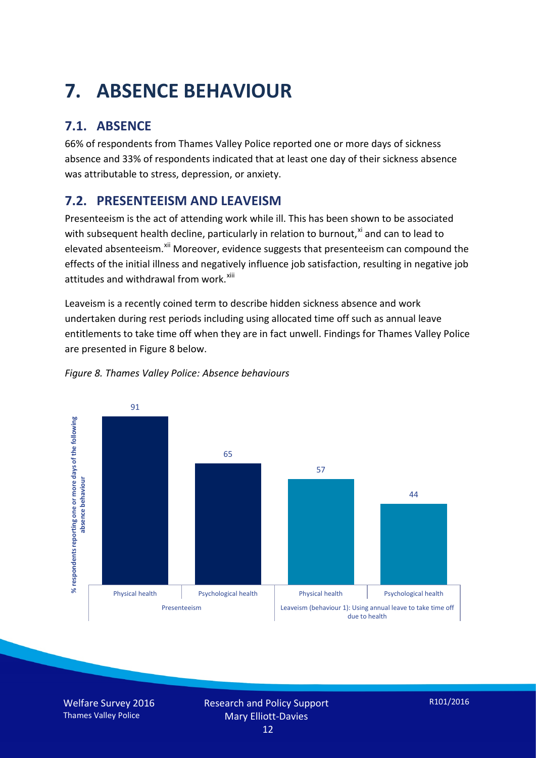# **7. ABSENCE BEHAVIOUR**

## **7.1. ABSENCE**

66% of respondents from Thames Valley Police reported one or more days of sickness absence and 33% of respondents indicated that at least one day of their sickness absence was attributable to stress, depression, or anxiety.

### **7.2. PRESENTEEISM AND LEAVEISM**

Presenteeism is the act of attending work while ill. This has been shown to be associated with subsequent health decline, particularly in relation to burnout, $x_i$  and can to lead to elevated absenteeism.<sup>[xii](#page-16-1)</sup> Moreover, evidence suggests that presenteeism can compound the effects of the initial illness and negatively influence job satisfaction, resulting in negative job attitudes and withdrawal from work.<sup>[xiii](#page-16-2)</sup>

Leaveism is a recently coined term to describe hidden sickness absence and work undertaken during rest periods including using allocated time off such as annual leave entitlements to take time off when they are in fact unwell. Findings for Thames Valley Police are presented in Figure 8 below.



#### *Figure 8. Thames Valley Police: Absence behaviours*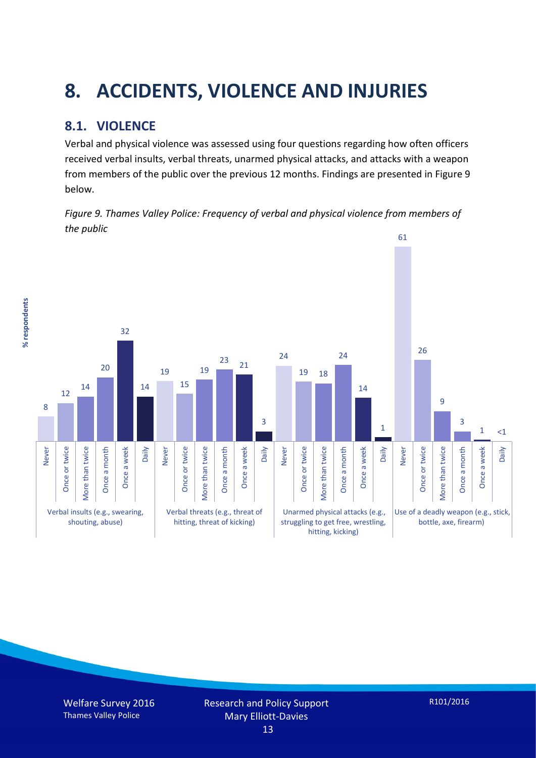# **8. ACCIDENTS, VIOLENCE AND INJURIES**

### **8.1. VIOLENCE**

Verbal and physical violence was assessed using four questions regarding how often officers received verbal insults, verbal threats, unarmed physical attacks, and attacks with a weapon from members of the public over the previous 12 months. Findings are presented in Figure 9 below.

*Figure 9. Thames Valley Police: Frequency of verbal and physical violence from members of the public*



% respondents **% respondents**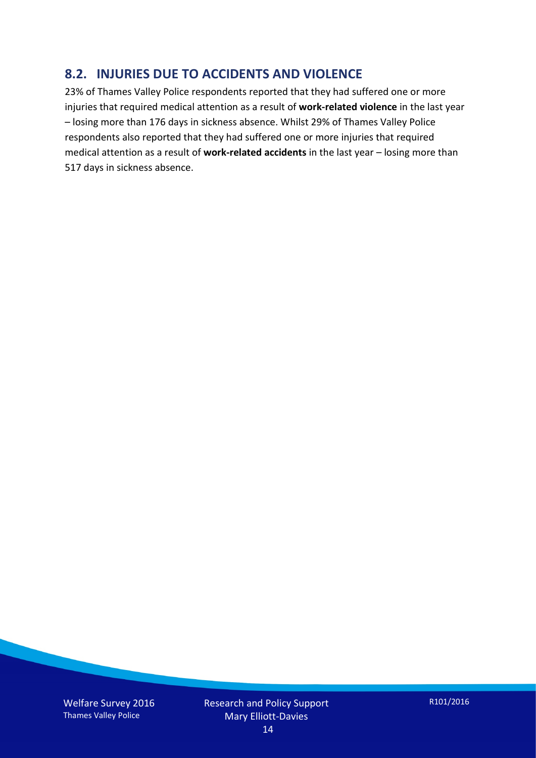### **8.2. INJURIES DUE TO ACCIDENTS AND VIOLENCE**

23% of Thames Valley Police respondents reported that they had suffered one or more injuries that required medical attention as a result of **work-related violence** in the last year – losing more than 176 days in sickness absence. Whilst 29% of Thames Valley Police respondents also reported that they had suffered one or more injuries that required medical attention as a result of **work-related accidents** in the last year – losing more than 517 days in sickness absence.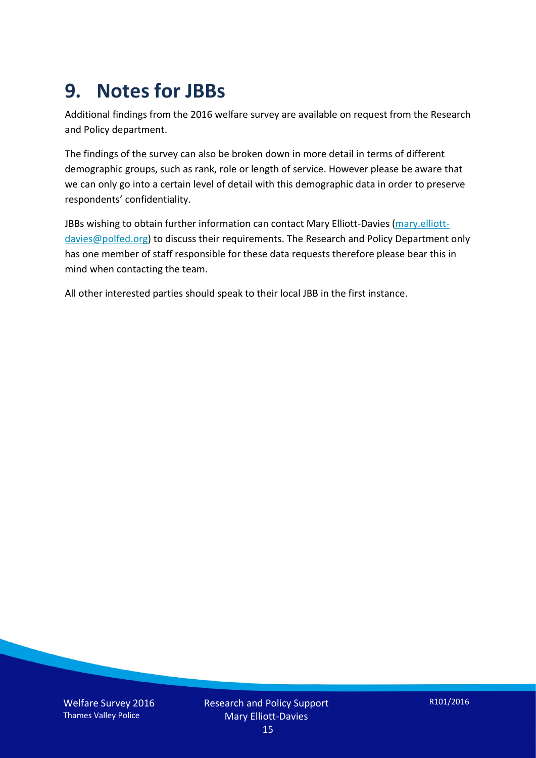## **9. Notes for JBBs**

Additional findings from the 2016 welfare survey are available on request from the Research and Policy department.

The findings of the survey can also be broken down in more detail in terms of different demographic groups, such as rank, role or length of service. However please be aware that we can only go into a certain level of detail with this demographic data in order to preserve respondents' confidentiality.

JBBs wishing to obtain further information can contact Mary Elliott-Davies [\(mary.elliott](mailto:mary.elliott-davies@polfed.org)[davies@polfed.org\)](mailto:mary.elliott-davies@polfed.org) to discuss their requirements. The Research and Policy Department only has one member of staff responsible for these data requests therefore please bear this in mind when contacting the team.

All other interested parties should speak to their local JBB in the first instance.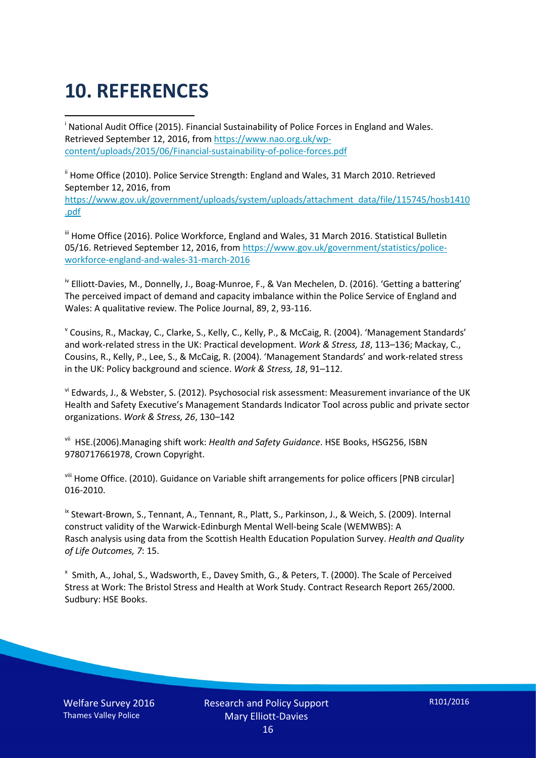# **10. REFERENCES**

<span id="page-15-0"></span>i National Audit Office (2015). Financial Sustainability of Police Forces in England and Wales. Retrieved September 12, 2016, fro[m https://www.nao.org.uk/wp](https://www.nao.org.uk/wp-content/uploads/2015/06/Financial-sustainability-of-police-forces.pdf)[content/uploads/2015/06/Financial-sustainability-of-police-forces.pdf](https://www.nao.org.uk/wp-content/uploads/2015/06/Financial-sustainability-of-police-forces.pdf)

<span id="page-15-1"></span><sup>ii</sup> Home Office (2010). Police Service Strength: England and Wales, 31 March 2010. Retrieved September 12, 2016, from [https://www.gov.uk/government/uploads/system/uploads/attachment\\_data/file/115745/hosb1410](https://www.gov.uk/government/uploads/system/uploads/attachment_data/file/115745/hosb1410.pdf) [.pdf](https://www.gov.uk/government/uploads/system/uploads/attachment_data/file/115745/hosb1410.pdf)

<span id="page-15-2"></span><sup>iii</sup> Home Office (2016). Police Workforce, England and Wales, 31 March 2016. Statistical Bulletin 05/16. Retrieved September 12, 2016, fro[m https://www.gov.uk/government/statistics/police](https://www.gov.uk/government/statistics/police-workforce-england-and-wales-31-march-2016)[workforce-england-and-wales-31-march-2016](https://www.gov.uk/government/statistics/police-workforce-england-and-wales-31-march-2016)

<span id="page-15-3"></span><sup>iv</sup> Elliott-Davies, M., Donnelly, J., Boag-Munroe, F., & Van Mechelen, D. (2016). 'Getting a battering' The perceived impact of demand and capacity imbalance within the Police Service of England and Wales: A qualitative review. The Police Journal, 89, 2, 93-116.

<span id="page-15-4"></span><sup>v</sup> Cousins, R., Mackay, C., Clarke, S., Kelly, C., Kelly, P., & McCaig, R. (2004). 'Management Standards' and work-related stress in the UK: Practical development. *Work & Stress, 18*, 113–136; Mackay, C., Cousins, R., Kelly, P., Lee, S., & McCaig, R. (2004). 'Management Standards' and work-related stress in the UK: Policy background and science. *Work & Stress, 18*, 91–112.

<span id="page-15-5"></span>vi Edwards, J., & Webster, S. (2012). Psychosocial risk assessment: Measurement invariance of the UK Health and Safety Executive's Management Standards Indicator Tool across public and private sector organizations. *Work & Stress, 26*, 130–142

<span id="page-15-6"></span>vii HSE.(2006).Managing shift work: *Health and Safety Guidance*. HSE Books, HSG256, ISBN 9780717661978, Crown Copyright.

<span id="page-15-7"></span>viii Home Office. (2010). Guidance on Variable shift arrangements for police officers [PNB circular] 016-2010.

<span id="page-15-8"></span><sup>ix</sup> Stewart-Brown, S., Tennant, A., Tennant, R., Platt, S., Parkinson, J., & Weich, S. (2009). Internal construct validity of the Warwick-Edinburgh Mental Well-being Scale (WEMWBS): A Rasch analysis using data from the Scottish Health Education Population Survey. *Health and Quality of Life Outcomes, 7*: 15.

<span id="page-15-9"></span>x Smith, A., Johal, S., Wadsworth, E., Davey Smith, G., & Peters, T. (2000). The Scale of Perceived Stress at Work: The Bristol Stress and Health at Work Study. Contract Research Report 265/2000. Sudbury: HSE Books.